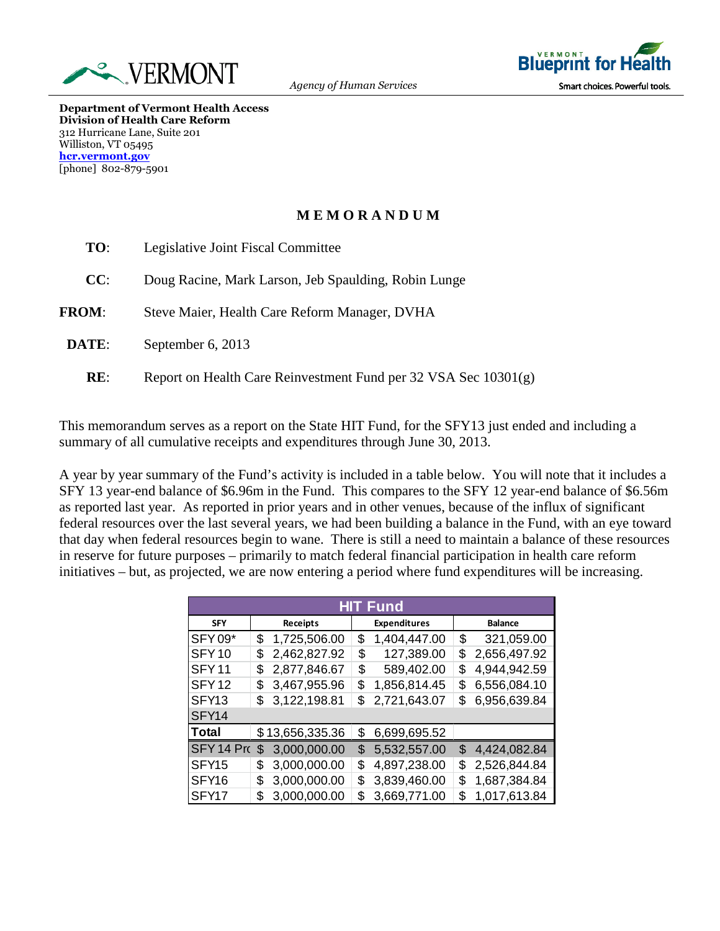



**Department of Vermont Health Access Division of Health Care Reform** 312 Hurricane Lane, Suite 201 Williston, VT 05495 **hcr.vermont.gov** [phone] 802-879-5901

## **M E M O R A N D U M**

| TO:          | Legislative Joint Fiscal Committee                              |
|--------------|-----------------------------------------------------------------|
| CC:          | Doug Racine, Mark Larson, Jeb Spaulding, Robin Lunge            |
| <b>FROM:</b> | Steve Maier, Health Care Reform Manager, DVHA                   |
| DATE:        | September 6, 2013                                               |
| RE:          | Report on Health Care Reinvestment Fund per 32 VSA Sec 10301(g) |

This memorandum serves as a report on the State HIT Fund, for the SFY13 just ended and including a summary of all cumulative receipts and expenditures through June 30, 2013.

A year by year summary of the Fund's activity is included in a table below. You will note that it includes a SFY 13 year-end balance of \$6.96m in the Fund. This compares to the SFY 12 year-end balance of \$6.56m as reported last year. As reported in prior years and in other venues, because of the influx of significant federal resources over the last several years, we had been building a balance in the Fund, with an eye toward that day when federal resources begin to wane. There is still a need to maintain a balance of these resources in reserve for future purposes – primarily to match federal financial participation in health care reform initiatives – but, as projected, we are now entering a period where fund expenditures will be increasing.

| <b>HIT Fund</b>   |                 |                 |                     |              |                |              |  |  |
|-------------------|-----------------|-----------------|---------------------|--------------|----------------|--------------|--|--|
| <b>SFY</b>        | <b>Receipts</b> |                 | <b>Expenditures</b> |              | <b>Balance</b> |              |  |  |
| <b>SFY09*</b>     | \$              | 1,725,506.00    | \$                  | 1,404,447.00 | \$             | 321,059.00   |  |  |
| SFY <sub>10</sub> | \$              | 2,462,827.92    | \$                  | 127,389.00   | \$             | 2,656,497.92 |  |  |
| SFY <sub>11</sub> | \$              | 2,877,846.67    | \$                  | 589,402.00   | \$             | 4,944,942.59 |  |  |
| SFY <sub>12</sub> | \$              | 3,467,955.96    | \$                  | 1,856,814.45 | \$             | 6,556,084.10 |  |  |
| SFY <sub>13</sub> | \$              | 3,122,198.81    | \$                  | 2,721,643.07 | \$             | 6,956,639.84 |  |  |
| SFY <sub>14</sub> |                 |                 |                     |              |                |              |  |  |
| Total             |                 | \$13,656,335.36 | \$                  | 6,699,695.52 |                |              |  |  |
| SFY 14 Pro        | \$              | 3,000,000.00    | \$                  | 5,532,557.00 | \$             | 4,424,082.84 |  |  |
| SFY <sub>15</sub> | \$              | 3,000,000.00    | \$                  | 4,897,238.00 | \$             | 2,526,844.84 |  |  |
| SFY <sub>16</sub> | \$              | 3,000,000.00    | \$                  | 3,839,460.00 | \$             | 1,687,384.84 |  |  |
| SFY <sub>17</sub> | \$              | 3,000,000.00    | S.                  | 3,669,771.00 | \$             | 1,017,613.84 |  |  |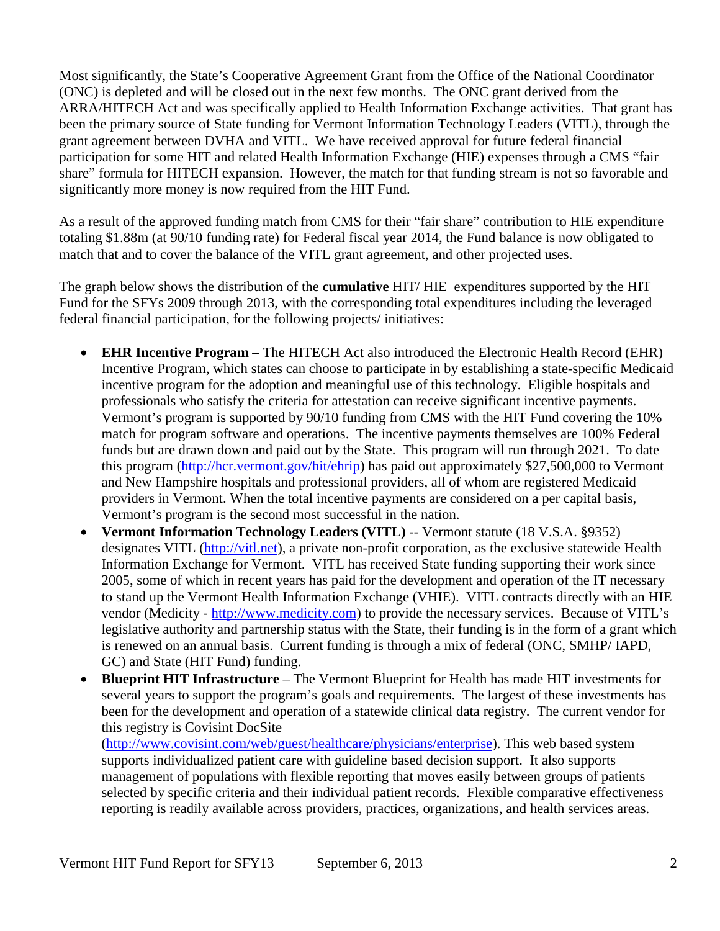Most significantly, the State's Cooperative Agreement Grant from the Office of the National Coordinator (ONC) is depleted and will be closed out in the next few months. The ONC grant derived from the ARRA/HITECH Act and was specifically applied to Health Information Exchange activities. That grant has been the primary source of State funding for Vermont Information Technology Leaders (VITL), through the grant agreement between DVHA and VITL. We have received approval for future federal financial participation for some HIT and related Health Information Exchange (HIE) expenses through a CMS "fair share" formula for HITECH expansion. However, the match for that funding stream is not so favorable and significantly more money is now required from the HIT Fund.

As a result of the approved funding match from CMS for their "fair share" contribution to HIE expenditure totaling \$1.88m (at 90/10 funding rate) for Federal fiscal year 2014, the Fund balance is now obligated to match that and to cover the balance of the VITL grant agreement, and other projected uses.

The graph below shows the distribution of the **cumulative** HIT/ HIE expenditures supported by the HIT Fund for the SFYs 2009 through 2013, with the corresponding total expenditures including the leveraged federal financial participation, for the following projects/ initiatives:

- **EHR Incentive Program –** The HITECH Act also introduced the Electronic Health Record (EHR) Incentive Program, which states can choose to participate in by establishing a state-specific Medicaid incentive program for the adoption and meaningful use of this technology. Eligible hospitals and professionals who satisfy the criteria for attestation can receive significant incentive payments. Vermont's program is supported by 90/10 funding from CMS with the HIT Fund covering the 10% match for program software and operations. The incentive payments themselves are 100% Federal funds but are drawn down and paid out by the State. This program will run through 2021. To date this program (http://hcr.vermont.gov/hit/ehrip) has paid out approximately \$27,500,000 to Vermont and New Hampshire hospitals and professional providers, all of whom are registered Medicaid providers in Vermont. When the total incentive payments are considered on a per capital basis, Vermont's program is the second most successful in the nation.
- **Vermont Information Technology Leaders (VITL)** -- Vermont statute (18 V.S.A. §9352) designates VITL (http://vitl.net), a private non-profit corporation, as the exclusive statewide Health Information Exchange for Vermont. VITL has received State funding supporting their work since 2005, some of which in recent years has paid for the development and operation of the IT necessary to stand up the Vermont Health Information Exchange (VHIE). VITL contracts directly with an HIE vendor (Medicity - http://www.medicity.com) to provide the necessary services. Because of VITL's legislative authority and partnership status with the State, their funding is in the form of a grant which is renewed on an annual basis. Current funding is through a mix of federal (ONC, SMHP/ IAPD, GC) and State (HIT Fund) funding.
- **Blueprint HIT Infrastructure** The Vermont Blueprint for Health has made HIT investments for several years to support the program's goals and requirements. The largest of these investments has been for the development and operation of a statewide clinical data registry. The current vendor for this registry is Covisint DocSite

(http://www.covisint.com/web/guest/healthcare/physicians/enterprise). This web based system supports individualized patient care with guideline based decision support. It also supports management of populations with flexible reporting that moves easily between groups of patients selected by specific criteria and their individual patient records. Flexible comparative effectiveness reporting is readily available across providers, practices, organizations, and health services areas.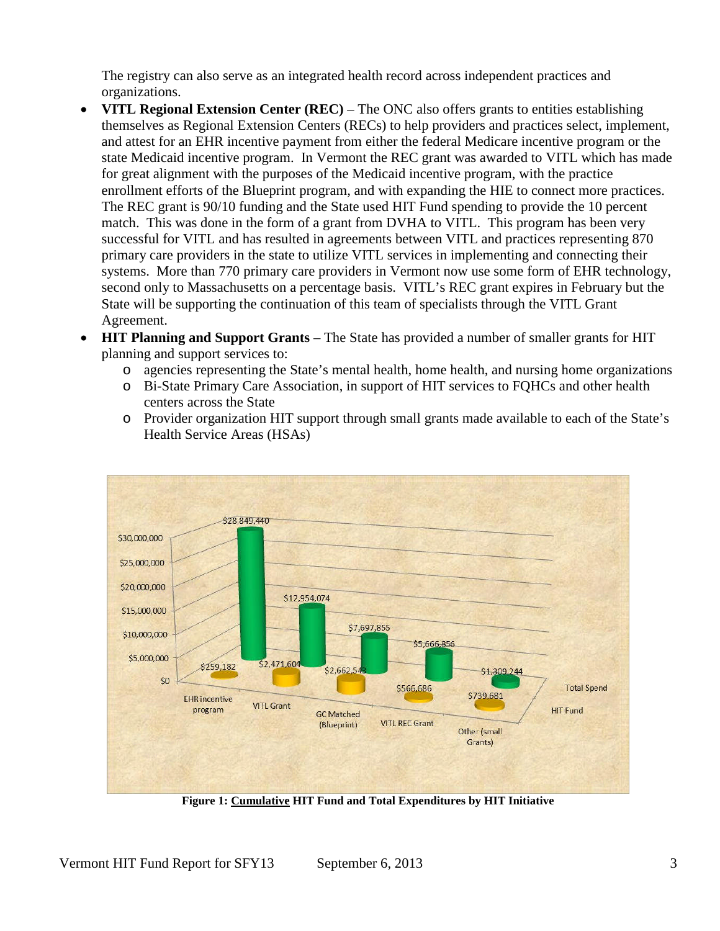The registry can also serve as an integrated health record across independent practices and organizations.

- **VITL Regional Extension Center (REC)** The ONC also offers grants to entities establishing themselves as Regional Extension Centers (RECs) to help providers and practices select, implement, and attest for an EHR incentive payment from either the federal Medicare incentive program or the state Medicaid incentive program. In Vermont the REC grant was awarded to VITL which has made for great alignment with the purposes of the Medicaid incentive program, with the practice enrollment efforts of the Blueprint program, and with expanding the HIE to connect more practices. The REC grant is 90/10 funding and the State used HIT Fund spending to provide the 10 percent match. This was done in the form of a grant from DVHA to VITL. This program has been very successful for VITL and has resulted in agreements between VITL and practices representing 870 primary care providers in the state to utilize VITL services in implementing and connecting their systems. More than 770 primary care providers in Vermont now use some form of EHR technology, second only to Massachusetts on a percentage basis. VITL's REC grant expires in February but the State will be supporting the continuation of this team of specialists through the VITL Grant Agreement.
- **HIT Planning and Support Grants** The State has provided a number of smaller grants for HIT planning and support services to:
	- o agencies representing the State's mental health, home health, and nursing home organizations
	- o Bi-State Primary Care Association, in support of HIT services to FQHCs and other health centers across the State
	- o Provider organization HIT support through small grants made available to each of the State's Health Service Areas (HSAs)



**Figure 1: Cumulative HIT Fund and Total Expenditures by HIT Initiative**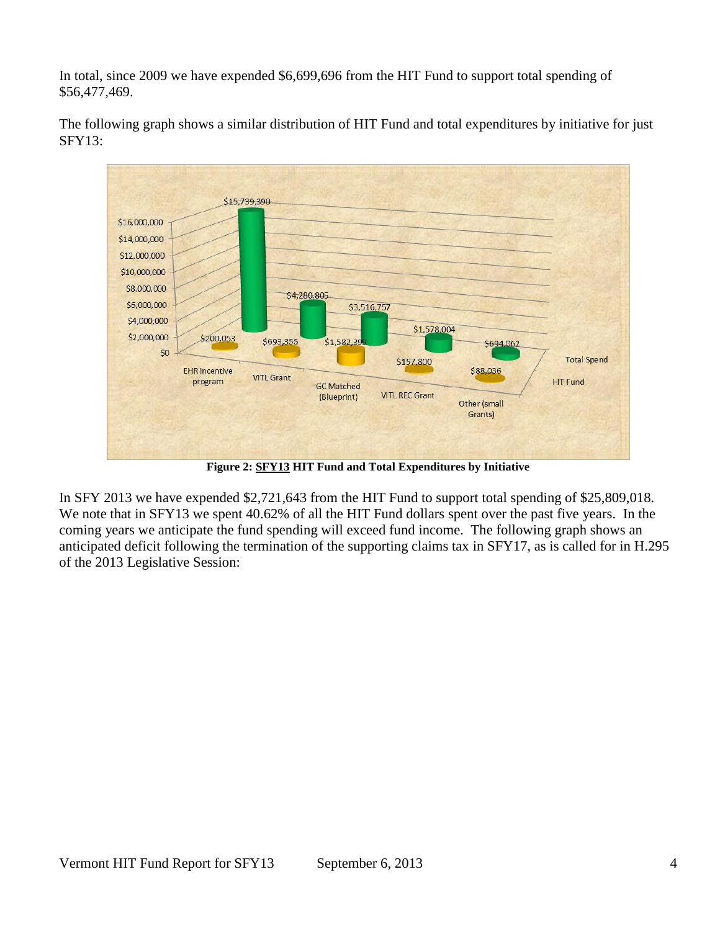In total, since 2009 we have expended \$6,699,696 from the HIT Fund to support total spending of \$56,477,469.



The following graph shows a similar distribution of HIT Fund and total expenditures by initiative for just SFY13:

**Figure 2: SFY13 HIT Fund and Total Expenditures by Initiative**

In SFY 2013 we have expended \$2,721,643 from the HIT Fund to support total spending of \$25,809,018. We note that in SFY13 we spent 40.62% of all the HIT Fund dollars spent over the past five years. In the coming years we anticipate the fund spending will exceed fund income. The following graph shows an anticipated deficit following the termination of the supporting claims tax in SFY17, as is called for in H.295 of the 2013 Legislative Session: